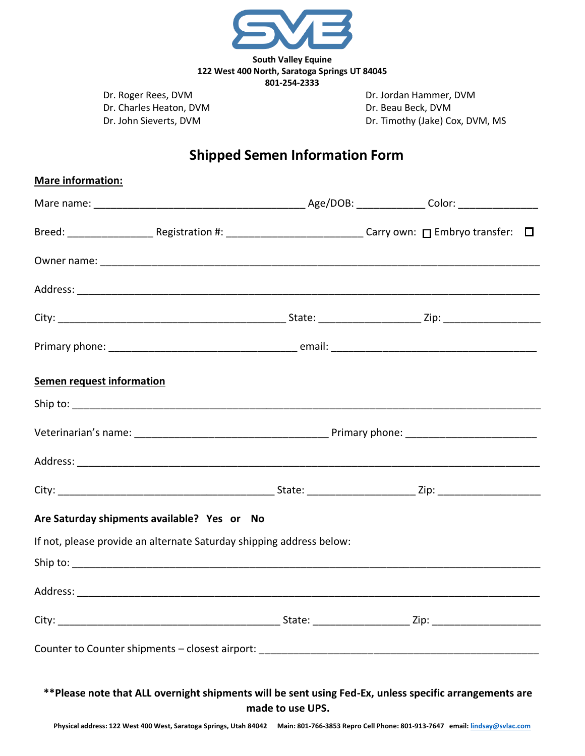

**801-254-2333**

Dr. Charles Heaton, DVM Dr. Beau Beck, DVM

**Mare information:** 

Dr. Roger Rees, DVM Dr. Jordan Hammer, DVM Dr. John Sieverts, DVM Dr. Timothy (Jake) Cox, DVM, MS

## **Shipped Semen Information Form**

| <b>Semen request information</b>                                                                                            |  |  |  |  |  |
|-----------------------------------------------------------------------------------------------------------------------------|--|--|--|--|--|
|                                                                                                                             |  |  |  |  |  |
|                                                                                                                             |  |  |  |  |  |
|                                                                                                                             |  |  |  |  |  |
|                                                                                                                             |  |  |  |  |  |
| Are Saturday shipments available? Yes or No                                                                                 |  |  |  |  |  |
| If not, please provide an alternate Saturday shipping address below:                                                        |  |  |  |  |  |
|                                                                                                                             |  |  |  |  |  |
|                                                                                                                             |  |  |  |  |  |
|                                                                                                                             |  |  |  |  |  |
|                                                                                                                             |  |  |  |  |  |
| ** Please note that ALL overnight shipments will be sent using Fed-Ex, unless specific arrangements are<br>made to use UPS. |  |  |  |  |  |